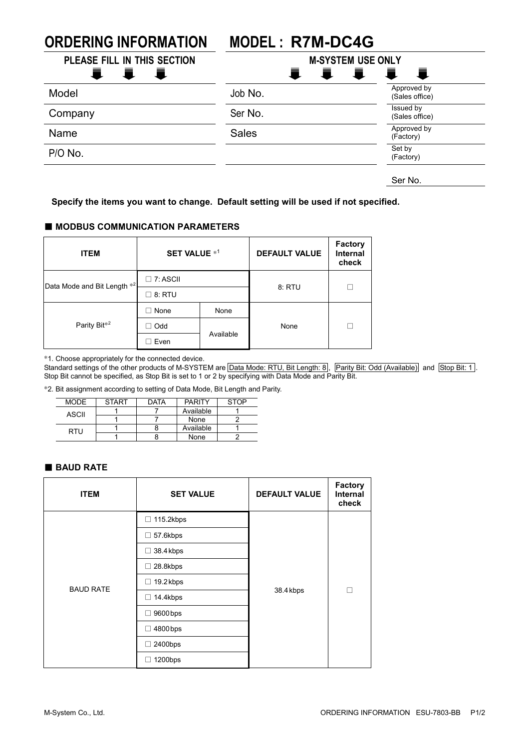# **ORDERING INFORMATION MODEL : R7M-DC4G**

| PLEASE FILL IN THIS SECTION        | <b>M-SYSTEM USE ONLY</b><br>I I I |                                     |  |
|------------------------------------|-----------------------------------|-------------------------------------|--|
| 青<br>一章<br>$\blacksquare$<br>Model | Job No.                           | 一章<br>Approved by<br>(Sales office) |  |
| Company                            | Ser No.                           | Issued by<br>(Sales office)         |  |
| Name                               | <b>Sales</b>                      | Approved by<br>(Factory)            |  |
| P/O No.                            |                                   | Set by<br>(Factory)                 |  |
|                                    |                                   | Ser No.                             |  |

**Specify the items you want to change. Default setting will be used if not specified.**

#### ■ **MODBUS COMMUNICATION PARAMETERS**

| <b>ITEM</b>                 | <b>SET VALUE *1</b> |           | <b>DEFAULT VALUE</b> | <b>Factory</b><br><b>Internal</b><br>check |
|-----------------------------|---------------------|-----------|----------------------|--------------------------------------------|
| Data Mode and Bit Length *2 | $\Box$ 7: ASCII     |           |                      |                                            |
|                             | $\square$ 8: RTU    |           | 8: RTU               |                                            |
| Parity Bit <sup>*2</sup>    | None<br>- 1         | None      | None                 |                                            |
|                             | $\Box$ Odd          | Available |                      |                                            |
|                             | Even                |           |                      |                                            |

\*1. Choose appropriately for the connected device.

Standard settings of the other products of M-SYSTEM are Data Mode: RTU, Bit Length: 8, Parity Bit: Odd (Available) and Stop Bit: 1. Stop Bit cannot be specified, as Stop Bit is set to 1 or 2 by specifying with Data Mode and Parity Bit.

\*2. Bit assignment according to setting of Data Mode, Bit Length and Parity.

| MODE  | <b>START</b> | <b>DATA</b> | <b>PARITY</b> | <b>STOP</b> |
|-------|--------------|-------------|---------------|-------------|
| ASCII |              |             | Available     |             |
|       |              |             | None          |             |
| RTU   |              |             | Available     |             |
|       |              |             | None          |             |

#### ■ **BAUD RATE**

| <b>ITEM</b>      | <b>SET VALUE</b>                     | <b>DEFAULT VALUE</b> | Factory<br><b>Internal</b><br>check |
|------------------|--------------------------------------|----------------------|-------------------------------------|
|                  | $\Box$ 115.2kbps                     |                      |                                     |
|                  | 57.6kbps<br>□                        | 38.4 kbps            | П                                   |
| <b>BAUD RATE</b> | 38.4 kbps<br>□                       |                      |                                     |
|                  | 28.8kbps<br>$\overline{\phantom{a}}$ |                      |                                     |
|                  | 19.2kbps<br>□                        |                      |                                     |
|                  | 14.4kbps<br>◻                        |                      |                                     |
|                  | 9600 bps<br>п                        |                      |                                     |
|                  | 4800 bps                             |                      |                                     |
|                  | 2400bps                              |                      |                                     |
|                  | 1200bps                              |                      |                                     |